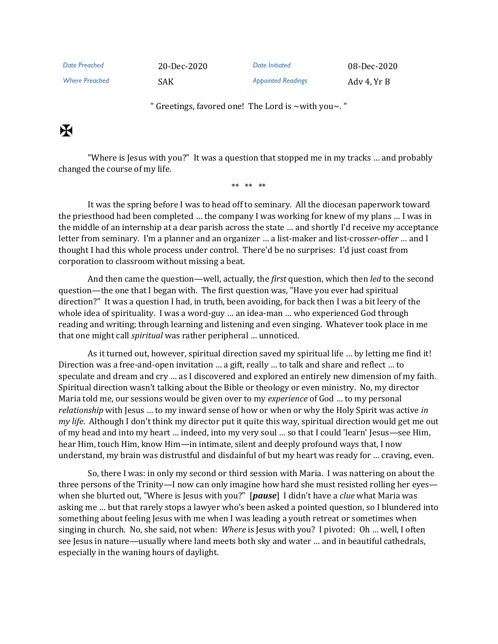*Date Preached* 20-Dec-2020 *Date Initiated* 08-Dec-2020 *Where Preached* SAK *Appointed Readings* Adv 4, Yr B

" Greetings, favored one! The Lord is ~with you~. "

## $\mathbf K$

"Where is Jesus with you?" It was a question that stopped me in my tracks … and probably changed the course of my life.

\*\* \*\* \*\*

It was the spring before I was to head off to seminary. All the diocesan paperwork toward the priesthood had been completed … the company I was working for knew of my plans … I was in the middle of an internship at a dear parish across the state … and shortly I'd receive my acceptance letter from seminary. I'm a planner and an organizer … a list-maker and list-cross*er*-off*er* … and I thought I had this whole process under control. There'd be no surprises: I'd just coast from corporation to classroom without missing a beat.

And then came the question—well, actually, the *first* question, which then *led* to the second question—the one that I began with. The first question was, "Have you ever had spiritual direction?" It was a question I had, in truth, been avoiding, for back then I was a bit leery of the whole idea of spirituality. I was a word-guy … an idea-man … who experienced God through reading and writing; through learning and listening and even singing. Whatever took place in me that one might call *spiritual* was rather peripheral … unnoticed.

As it turned out, however, spiritual direction saved my spiritual life … by letting me find it! Direction was a free-and-open invitation … a gift, really … to talk and share and reflect … to speculate and dream and cry … as I discovered and explored an entirely new dimension of my faith. Spiritual direction wasn't talking about the Bible or theology or even ministry. No, my director Maria told me, our sessions would be given over to my *experience* of God … to my personal *relationship* with Jesus … to my inward sense of how or when or why the Holy Spirit was active *in my life*. Although I don't think my director put it quite this way, spiritual direction would get me out of my head and into my heart … indeed, into my very soul … so that I could 'learn' Jesus—see Him, hear Him, touch Him, know Him—in intimate, silent and deeply profound ways that, I now understand, my brain was distrustful and disdainful of but my heart was ready for … craving, even.

So, there I was: in only my second or third session with Maria. I was nattering on about the three persons of the Trinity—I now can only imagine how hard she must resisted rolling her eyes when she blurted out, "Where is Jesus with you?" [*pause*] I didn't have a *clue* what Maria was asking me … but that rarely stops a lawyer who's been asked a pointed question, so I blundered into something about feeling Jesus with me when I was leading a youth retreat or sometimes when singing in church. No, she said, not when: *Where* is Jesus with you? I pivoted: Oh … well, I often see Jesus in nature—usually where land meets both sky and water … and in beautiful cathedrals, especially in the waning hours of daylight.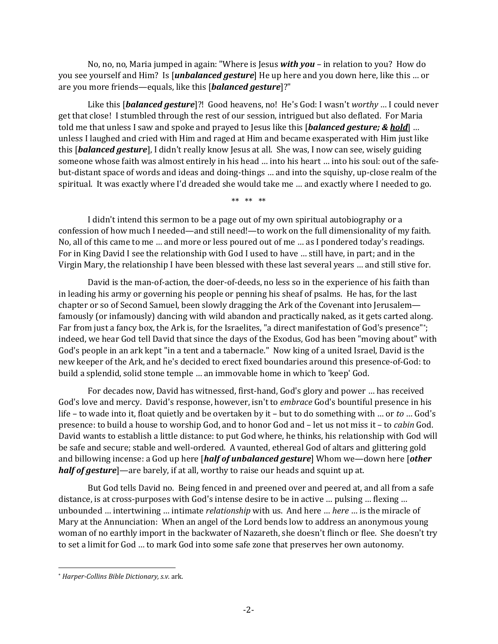No, no, no, Maria jumped in again: "Where is Jesus *with you* – in relation to you? How do you see yourself and Him? Is [*unbalanced gesture*] He up here and you down here, like this … or are you more friends—equals, like this [*balanced gesture*]?"

Like this [*balanced gesture*]?! Good heavens, no! He's God: I wasn't *worthy* … I could never get that close! I stumbled through the rest of our session, intrigued but also deflated. For Maria told me that unless I saw and spoke and prayed to Jesus like this [*balanced gesture; & hold*] … unless I laughed and cried with Him and raged at Him and became exasperated with Him just like this [*balanced gesture*], I didn't really know Jesus at all. She was, I now can see, wisely guiding someone whose faith was almost entirely in his head … into his heart … into his soul: out of the safebut-distant space of words and ideas and doing-things … and into the squishy, up-close realm of the spiritual. It was exactly where I'd dreaded she would take me … and exactly where I needed to go.

\*\* \*\* \*\*

I didn't intend this sermon to be a page out of my own spiritual autobiography or a confession of how much I needed—and still need!—to work on the full dimensionality of my faith. No, all of this came to me … and more or less poured out of me … as I pondered today's readings. For in King David I see the relationship with God I used to have … still have, in part; and in the Virgin Mary, the relationship I have been blessed with these last several years … and still stive for.

David is the man-of-action, the doer-of-deeds, no less so in the experience of his faith than in leading his army or governing his people or penning his sheaf of psalms. He has, for the last chapter or so of Second Samuel, been slowly dragging the Ark of the Covenant into Jerusalem famously (or infamously) dancing with wild abandon and practically naked, as it gets carted along. Far from just a fancy box, the Ark is, for the Israelites, "a direct manifestation of God's presence"\*; indeed, we hear God tell David that since the days of the Exodus, God has been "moving about" with God's people in an ark kept "in a tent and a tabernacle." Now king of a united Israel, David is the new keeper of the Ark, and he's decided to erect fixed boundaries around this presence-of-God: to build a splendid, solid stone temple … an immovable home in which to 'keep' God.

For decades now, David has witnessed, first-hand, God's glory and power … has received God's love and mercy. David's response, however, isn't to *embrace* God's bountiful presence in his life – to wade into it, float quietly and be overtaken by it – but to do something with … or *to* … God's presence: to build a house to worship God, and to honor God and – let us not miss it – to *cabin* God. David wants to establish a little distance: to put God where, he thinks, his relationship with God will be safe and secure; stable and well-ordered. A vaunted, ethereal God of altars and glittering gold and billowing incense: a God up here [*half of unbalanced gesture*] Whom we—down here [*other half of gesture*]—are barely, if at all, worthy to raise our heads and squint up at.

But God tells David no. Being fenced in and preened over and peered at, and all from a safe distance, is at cross-purposes with God's intense desire to be in active … pulsing … flexing … unbounded … intertwining … intimate *relationship* with us. And here … *here* … is the miracle of Mary at the Annunciation: When an angel of the Lord bends low to address an anonymous young woman of no earthly import in the backwater of Nazareth, she doesn't flinch or flee. She doesn't try to set a limit for God … to mark God into some safe zone that preserves her own autonomy.

<sup>\*</sup> *Harper-Collins Bible Dictionary, s.v.* ark.